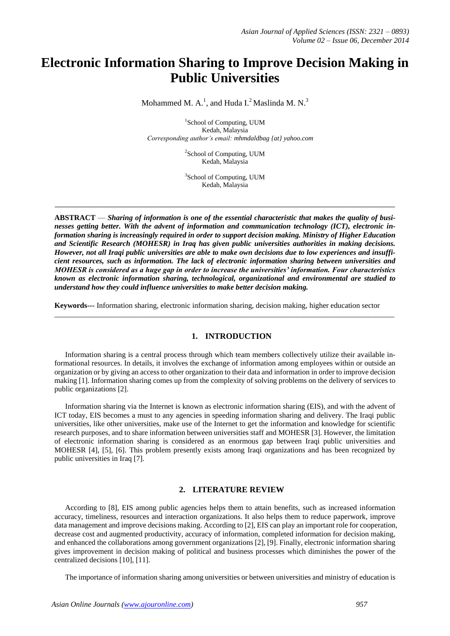# **Electronic Information Sharing to Improve Decision Making in Public Universities**

Mohammed M. A.<sup>1</sup>, and Huda I.<sup>2</sup> Maslinda M. N.<sup>3</sup>

1 School of Computing, UUM Kedah, Malaysia *Corresponding author's email: mhmdaldbag {at} yahoo.com*

> <sup>2</sup>School of Computing, UUM Kedah, Malaysia

> <sup>3</sup>School of Computing, UUM Kedah, Malaysia

**\_\_\_\_\_\_\_\_\_\_\_\_\_\_\_\_\_\_\_\_\_\_\_\_\_\_\_\_\_\_\_\_\_\_\_\_\_\_\_\_\_\_\_\_\_\_\_\_\_\_\_\_\_\_\_\_\_\_\_\_\_\_\_\_\_\_\_\_\_\_\_\_\_\_\_**

**ABSTRACT** — *Sharing of information is one of the essential characteristic that makes the quality of businesses getting better. With the advent of information and communication technology (ICT), electronic information sharing is increasingly required in order to support decision making. Ministry of Higher Education and Scientific Research (MOHESR) in Iraq has given public universities authorities in making decisions. However, not all Iraqi public universities are able to make own decisions due to low experiences and insufficient resources, such as information. The lack of electronic information sharing between universities and MOHESR is considered as a huge gap in order to increase the universities' information. Four characteristics known as electronic information sharing, technological, organizational and environmental are studied to understand how they could influence universities to make better decision making.*

**Keywords---** Information sharing, electronic information sharing, decision making, higher education sector

 $\_$  ,  $\_$  ,  $\_$  ,  $\_$  ,  $\_$  ,  $\_$  ,  $\_$  ,  $\_$  ,  $\_$  ,  $\_$  ,  $\_$  ,  $\_$  ,  $\_$  ,  $\_$  ,  $\_$  ,  $\_$  ,  $\_$  ,  $\_$  ,  $\_$  ,  $\_$  ,  $\_$  ,  $\_$  ,  $\_$  ,  $\_$  ,  $\_$  ,  $\_$  ,  $\_$  ,  $\_$  ,  $\_$  ,  $\_$  ,  $\_$  ,  $\_$  ,  $\_$  ,  $\_$  ,  $\_$  ,  $\_$  ,  $\_$  ,

# **1. INTRODUCTION**

Information sharing is a central process through which team members collectively utilize their available informational resources. In details, it involves the exchange of information among employees within or outside an organization or by giving an access to other organization to their data and information in order to improve decision making [1]. Information sharing comes up from the complexity of solving problems on the delivery of services to public organizations [2].

Information sharing via the Internet is known as electronic information sharing (EIS), and with the advent of ICT today, EIS becomes a must to any agencies in speeding information sharing and delivery. The Iraqi public universities, like other universities, make use of the Internet to get the information and knowledge for scientific research purposes, and to share information between universities staff and MOHESR [3]. However, the limitation of electronic information sharing is considered as an enormous gap between Iraqi public universities and MOHESR [4], [5], [6]. This problem presently exists among Iraqi organizations and has been recognized by public universities in Iraq [7].

# **2. LITERATURE REVIEW**

According to [8], EIS among public agencies helps them to attain benefits, such as increased information accuracy, timeliness, resources and interaction organizations. It also helps them to reduce paperwork, improve data management and improve decisions making. According to [2], EIS can play an important role for cooperation, decrease cost and augmented productivity, accuracy of information, completed information for decision making, and enhanced the collaborations among government organizations [2], [9]. Finally, electronic information sharing gives improvement in decision making of political and business processes which diminishes the power of the centralized decisions [10], [11].

The importance of information sharing among universities or between universities and ministry of education is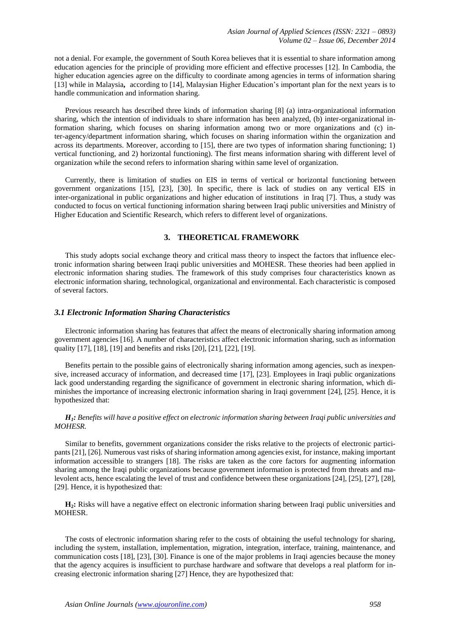not a denial. For example, the government of South Korea believes that it is essential to share information among education agencies for the principle of providing more efficient and effective processes [12]. In Cambodia, the higher education agencies agree on the difficulty to coordinate among agencies in terms of information sharing [13] while in Malaysia**,** according to [14], Malaysian Higher Education's important plan for the next years is to handle communication and information sharing.

Previous research has described three kinds of information sharing [8] (a) intra-organizational information sharing, which the intention of individuals to share information has been analyzed, (b) inter-organizational information sharing, which focuses on sharing information among two or more organizations and (c) inter-agency/department information sharing, which focuses on sharing information within the organization and across its departments. Moreover, according to [15], there are two types of information sharing functioning; 1) vertical functioning, and 2) horizontal functioning). The first means information sharing with different level of organization while the second refers to information sharing within same level of organization.

Currently, there is limitation of studies on EIS in terms of vertical or horizontal functioning between government organizations [15], [23], [30]. In specific, there is lack of studies on any vertical EIS in inter-organizational in public organizations and higher education of institutions in Iraq [7]. Thus, a study was conducted to focus on vertical functioning information sharing between Iraqi public universities and Ministry of Higher Education and Scientific Research, which refers to different level of organizations.

# **3. THEORETICAL FRAMEWORK**

This study adopts social exchange theory and critical mass theory to inspect the factors that influence electronic information sharing between Iraqi public universities and MOHESR. These theories had been applied in electronic information sharing studies. The framework of this study comprises four characteristics known as electronic information sharing, technological, organizational and environmental. Each characteristic is composed of several factors.

#### *3.1 Electronic Information Sharing Characteristics*

Electronic information sharing has features that affect the means of electronically sharing information among government agencies [16]. A number of characteristics affect electronic information sharing, such as information quality [17], [18], [19] and benefits and risks [20], [21], [22], [19].

Benefits pertain to the possible gains of electronically sharing information among agencies, such as inexpensive, increased accuracy of information, and decreased time [17], [23]. Employees in Iraqi public organizations lack good understanding regarding the significance of government in electronic sharing information, which diminishes the importance of increasing electronic information sharing in Iraqi government [24], [25]. Hence, it is hypothesized that:

# *H1: Benefits will have a positive effect on electronic information sharing between Iraqi public universities and MOHESR.*

Similar to benefits, government organizations consider the risks relative to the projects of electronic participants [21], [26]. Numerous vast risks of sharing information among agencies exist, for instance, making important information accessible to strangers [18]. The risks are taken as the core factors for augmenting information sharing among the Iraqi public organizations because government information is protected from threats and malevolent acts, hence escalating the level of trust and confidence between these organizations [24], [25], [27], [28], [29]. Hence, it is hypothesized that:

**H2:** Risks will have a negative effect on electronic information sharing between Iraqi public universities and MOHESR.

The costs of electronic information sharing refer to the costs of obtaining the useful technology for sharing, including the system, installation, implementation, migration, integration, interface, training, maintenance, and communication costs [18], [23], [30]. Finance is one of the major problems in Iraqi agencies because the money that the agency acquires is insufficient to purchase hardware and software that develops a real platform for increasing electronic information sharing [27] Hence, they are hypothesized that: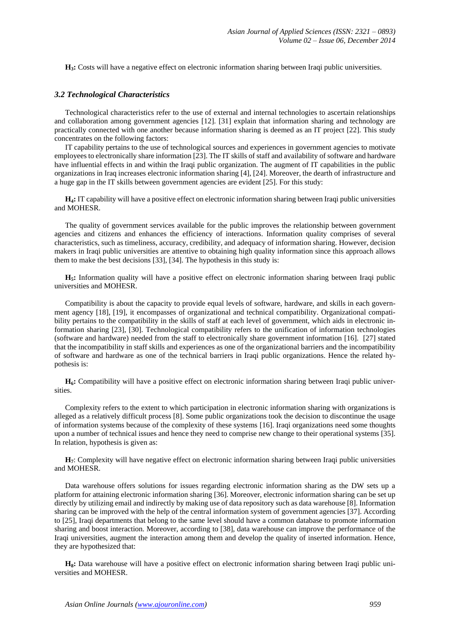**H3:** Costs will have a negative effect on electronic information sharing between Iraqi public universities.

## *3.2 Technological Characteristics*

Technological characteristics refer to the use of external and internal technologies to ascertain relationships and collaboration among government agencies [12]. [31] explain that information sharing and technology are practically connected with one another because information sharing is deemed as an IT project [22]. This study concentrates on the following factors:

IT capability pertains to the use of technological sources and experiences in government agencies to motivate employees to electronically share information [23]. The IT skills of staff and availability of software and hardware have influential effects in and within the Iraqi public organization. The augment of IT capabilities in the public organizations in Iraq increases electronic information sharing [4], [24]. Moreover, the dearth of infrastructure and a huge gap in the IT skills between government agencies are evident [25]. For this study:

**H4:** IT capability will have a positive effect on electronic information sharing between Iraqi public universities and MOHESR.

The quality of government services available for the public improves the relationship between government agencies and citizens and enhances the efficiency of interactions. Information quality comprises of several characteristics, such as timeliness, accuracy, credibility, and adequacy of information sharing. However, decision makers in Iraqi public universities are attentive to obtaining high quality information since this approach allows them to make the best decisions [33], [34]. The hypothesis in this study is:

**H5:** Information quality will have a positive effect on electronic information sharing between Iraqi public universities and MOHESR.

Compatibility is about the capacity to provide equal levels of software, hardware, and skills in each government agency [18], [19], it encompasses of organizational and technical compatibility. Organizational compatibility pertains to the compatibility in the skills of staff at each level of government, which aids in electronic information sharing [23], [30]. Technological compatibility refers to the unification of information technologies (software and hardware) needed from the staff to electronically share government information [16]. [27] stated that the incompatibility in staff skills and experiences as one of the organizational barriers and the incompatibility of software and hardware as one of the technical barriers in Iraqi public organizations. Hence the related hypothesis is:

**H6:** Compatibility will have a positive effect on electronic information sharing between Iraqi public universities.

Complexity refers to the extent to which participation in electronic information sharing with organizations is alleged as a relatively difficult process [8]. Some public organizations took the decision to discontinue the usage of information systems because of the complexity of these systems [16]. Iraqi organizations need some thoughts upon a number of technical issues and hence they need to comprise new change to their operational systems [35]. In relation, hypothesis is given as:

**H7**: Complexity will have negative effect on electronic information sharing between Iraqi public universities and MOHESR.

Data warehouse offers solutions for issues regarding electronic information sharing as the DW sets up a platform for attaining electronic information sharing [36]. Moreover, electronic information sharing can be set up directly by utilizing email and indirectly by making use of data repository such as data warehouse [8]. Information sharing can be improved with the help of the central information system of government agencies [37]. According to [25], Iraqi departments that belong to the same level should have a common database to promote information sharing and boost interaction. Moreover, according to [38], data warehouse can improve the performance of the Iraqi universities, augment the interaction among them and develop the quality of inserted information. Hence, they are hypothesized that:

**H8:** Data warehouse will have a positive effect on electronic information sharing between Iraqi public universities and MOHESR.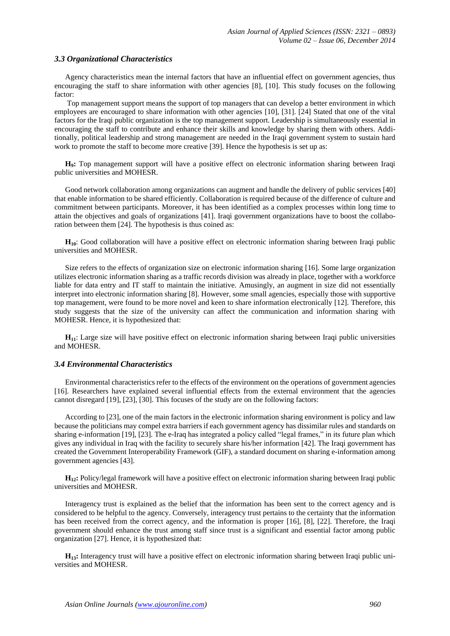## *3.3 Organizational Characteristics*

Agency characteristics mean the internal factors that have an influential effect on government agencies, thus encouraging the staff to share information with other agencies [8], [10]. This study focuses on the following factor:

Top management support means the support of top managers that can develop a better environment in which employees are encouraged to share information with other agencies [10], [31]. [24] Stated that one of the vital factors for the Iraqi public organization is the top management support. Leadership is simultaneously essential in encouraging the staff to contribute and enhance their skills and knowledge by sharing them with others. Additionally, political leadership and strong management are needed in the Iraqi government system to sustain hard work to promote the staff to become more creative [39]. Hence the hypothesis is set up as:

H<sub>9</sub>: Top management support will have a positive effect on electronic information sharing between Iraqi public universities and MOHESR.

Good network collaboration among organizations can augment and handle the delivery of public services [40] that enable information to be shared efficiently. Collaboration is required because of the difference of culture and commitment between participants. Moreover, it has been identified as a complex processes within long time to attain the objectives and goals of organizations [41]. Iraqi government organizations have to boost the collaboration between them [24]. The hypothesis is thus coined as:

**H10**: Good collaboration will have a positive effect on electronic information sharing between Iraqi public universities and MOHESR.

Size refers to the effects of organization size on electronic information sharing [16]. Some large organization utilizes electronic information sharing as a traffic records division was already in place, together with a workforce liable for data entry and IT staff to maintain the initiative. Amusingly, an augment in size did not essentially interpret into electronic information sharing [8]. However, some small agencies, especially those with supportive top management, were found to be more novel and keen to share information electronically [12]. Therefore, this study suggests that the size of the university can affect the communication and information sharing with MOHESR. Hence, it is hypothesized that:

**H11**: Large size will have positive effect on electronic information sharing between Iraqi public universities and MOHESR.

### *3.4 Environmental Characteristics*

Environmental characteristics refer to the effects of the environment on the operations of government agencies [16]. Researchers have explained several influential effects from the external environment that the agencies cannot disregard [19], [23], [30]. This focuses of the study are on the following factors:

According to [23], one of the main factors in the electronic information sharing environment is policy and law because the politicians may compel extra barriers if each government agency has dissimilar rules and standards on sharing e-information [19], [23]. The e-Iraq has integrated a policy called "legal frames," in its future plan which gives any individual in Iraq with the facility to securely share his/her information [42]. The Iraqi government has created the Government Interoperability Framework (GIF), a standard document on sharing e-information among government agencies [43].

**H12:** Policy/legal framework will have a positive effect on electronic information sharing between Iraqi public universities and MOHESR.

Interagency trust is explained as the belief that the information has been sent to the correct agency and is considered to be helpful to the agency. Conversely, interagency trust pertains to the certainty that the information has been received from the correct agency, and the information is proper [16], [8], [22]. Therefore, the Iraqi government should enhance the trust among staff since trust is a significant and essential factor among public organization [27]. Hence, it is hypothesized that:

**H13:** Interagency trust will have a positive effect on electronic information sharing between Iraqi public universities and MOHESR.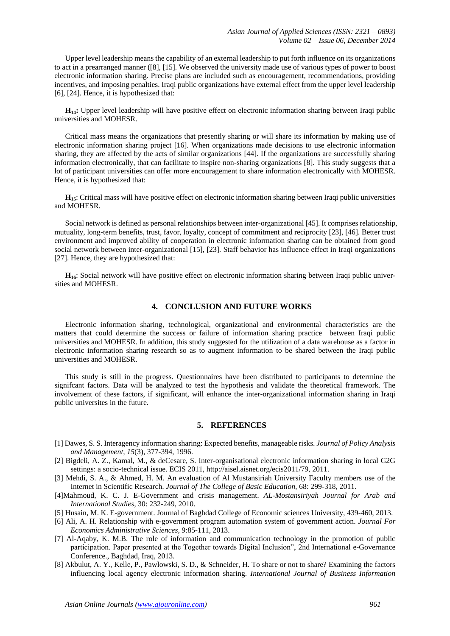Upper level leadership means the capability of an external leadership to put forth influence on its organizations to act in a prearranged manner ([8], [15]. We observed the university made use of various types of power to boost electronic information sharing. Precise plans are included such as encouragement, recommendations, providing incentives, and imposing penalties. Iraqi public organizations have external effect from the upper level leadership [6], [24]. Hence, it is hypothesized that:

**H14:** Upper level leadership will have positive effect on electronic information sharing between Iraqi public universities and MOHESR.

Critical mass means the organizations that presently sharing or will share its information by making use of electronic information sharing project [16]. When organizations made decisions to use electronic information sharing, they are affected by the acts of similar organizations [44]. If the organizations are successfully sharing information electronically, that can facilitate to inspire non-sharing organizations [8]. This study suggests that a lot of participant universities can offer more encouragement to share information electronically with MOHESR. Hence, it is hypothesized that:

**H15**: Critical mass will have positive effect on electronic information sharing between Iraqi public universities and MOHESR.

Social network is defined as personal relationships between inter-organizational [45]. It comprises relationship, mutuality, long-term benefits, trust, favor, loyalty, concept of commitment and reciprocity [23], [46]. Better trust environment and improved ability of cooperation in electronic information sharing can be obtained from good social network between inter-organizational [15], [23]. Staff behavior has influence effect in Iraqi organizations [27]. Hence, they are hypothesized that:

**H16**: Social network will have positive effect on electronic information sharing between Iraqi public universities and MOHESR.

# **4. CONCLUSION AND FUTURE WORKS**

Electronic information sharing, technological, organizational and environmental characteristics are the matters that could determine the success or failure of information sharing practice between Iraqi public universities and MOHESR. In addition, this study suggested for the utilization of a data warehouse as a factor in electronic information sharing research so as to augment information to be shared between the Iraqi public universities and MOHESR.

This study is still in the progress. Questionnaires have been distributed to participants to determine the signifcant factors. Data will be analyzed to test the hypothesis and validate the theoretical framework. The involvement of these factors, if significant, will enhance the inter-organizational information sharing in Iraqi public universites in the future.

# **5. REFERENCES**

- [1] Dawes, S. S. Interagency information sharing: Expected benefits, manageable risks. *Journal of Policy Analysis and Management, 15*(3), 377-394, 1996.
- [2] Bigdeli, A. Z., Kamal, M., & deCesare, S. Inter-organisational electronic information sharing in local G2G settings: a socio-technical issue. ECIS 2011, [http://aisel.aisnet.org/ecis2011/79,](http://aisel.aisnet.org/ecis2011/79) 2011.
- [3] Mehdi, S. A., & Ahmed, H. M. An evaluation of Al Mustansiriah University Faculty members use of the Internet in Scientific Research. *Journal of The College of Basic Education,* 68: 299-318, 2011.
- [4]Mahmoud, K. C. J. E-Government and crisis management. *AL-Mostansiriyah Journal for Arab and International Studies,* 30: 232-249, 2010.
- [5] Husain, M. K. E-government. Journal of Baghdad College of Economic sciences University, 439-460, 2013.
- [6] Ali, A. H. Relationship with e-government program automation system of government action. *Journal For Economics Administrative Sciences,* 9:85-111, 2013.
- [7] Al-Aqaby, K. M.B. The role of information and communication technology in the promotion of public participation. Paper presented at the Together towards Digital Inclusion", 2nd International e-Governance Conference., Baghdad, Iraq, 2013.
- [8] Akbulut, A. Y., Kelle, P., Pawlowski, S. D., & Schneider, H. To share or not to share? Examining the factors influencing local agency electronic information sharing. *International Journal of Business Information*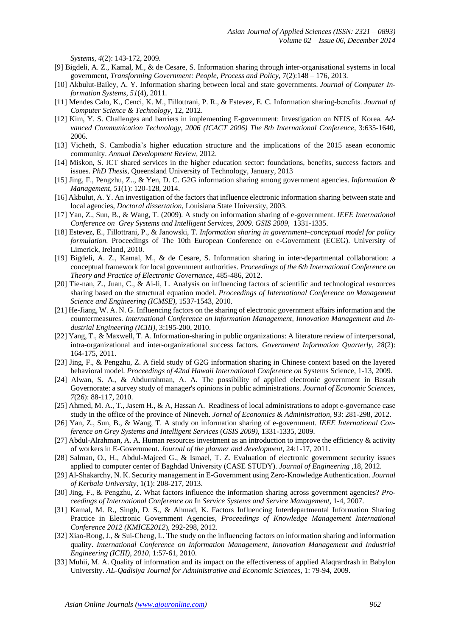*Systems, 4*(2): 143-172, 2009.

- [9] Bigdeli, A. Z., Kamal, M., & de Cesare, S. Information sharing through inter-organisational systems in local government, *Transforming Government: People, Process and Policy*, 7(2):148 – 176, 2013.
- [10] Akbulut-Bailey, A. Y. Information sharing between local and state governments. *Journal of Computer Information Systems*, *51*(4), 2011.
- [11] Mendes Calo, K., Cenci, K. M., Fillottrani, P. R., & Estevez, E. C. Information sharing-benefits. *Journal of Computer Science & Technology*, 12, 2012.
- [12] Kim, Y. S. Challenges and barriers in implementing E-government: Investigation on NEIS of Korea. *Advanced Communication Technology, 2006 (ICACT 2006) The 8th International Conference*, 3:635-1640, 2006.
- [13] Vicheth, S. Cambodia's higher education structure and the implications of the 2015 asean economic community. *Annual Development Review,* 2012.
- [14] Miskon, S. ICT shared services in the higher education sector: foundations, benefits, success factors and issues. *PhD Thesis*, Queensland University of Technology, January, 2013
- [15] Jing, F., Pengzhu, Z.., & Yen, D. C. G2G information sharing among government agencies. *Information & Management*, *51*(1): 120-128, 2014.
- [16] Akbulut, A. Y. An investigation of the factors that influence electronic information sharing between state and local agencies, *Doctoral dissertation*, Louisiana State University, 2003.
- [17] Yan, Z., Sun, B., & Wang, T. (2009). A study on information sharing of e-government. *IEEE International Conference on Grey Systems and Intelligent Services, 2009. GSIS 2009,* 1331-1335.
- [18] Estevez, E., Fillottrani, P., & Janowski, T. *Information sharing in government–conceptual model for policy formulation.* Proceedings of The 10th European Conference on e-Government (ECEG). University of Limerick, Ireland, 2010.
- [19] Bigdeli, A. Z., Kamal, M., & de Cesare, S. Information sharing in inter-departmental collaboration: a conceptual framework for local government authorities. *Proceedings of the 6th International Conference on Theory and Practice of Electronic Governance*, 485-486, 2012.
- [20] Tie-nan, Z., Juan, C., & Ai-li, L. Analysis on influencing factors of scientific and technological resources sharing based on the structural equation model. *Proceedings of International Conference on Management Science and Engineering (ICMSE),* 1537-1543, 2010.
- [21] He-Jiang, W. A. N. G. Influencing factors on the sharing of electronic government affairs information and the countermeasures. *International Conference on Information Management, Innovation Management and Industrial Engineering (ICIII),* 3:195-200, 2010.
- [22] Yang, T., & Maxwell, T. A. Information-sharing in public organizations: A literature review of interpersonal, intra-organizational and inter-organizational success factors. *Government Information Quarterly, 28*(2): 164-175, 2011.
- [23] Jing, F., & Pengzhu, Z. A field study of G2G information sharing in Chinese context based on the layered behavioral model. *Proceedings of 42nd Hawaii International Conference on* Systems Science, 1-13, 2009.
- [24] Alwan, S. A., & Abdurrahman, A. A. The possibility of applied electronic government in Basrah Governorate: a survey study of manager's opinions in public administrations. *Journal of Economic Sciences, 7*(26): 88-117, 2010.
- [25] Ahmed, M. A., T., Jasem H., & A, Hassan A. Readiness of local administrations to adopt e-governance case study in the office of the province of Nineveh. *Jornal of Economics & Administration,* 93: 281-298, 2012.
- [26] Yan, Z., Sun, B., & Wang, T. A study on information sharing of e-government. *IEEE International Conference on Grey Systems and Intelligent Services* (*GSIS 2009),* 1331-1335, 2009.
- [27] Abdul-Alrahman, A. A. Human resources investment as an introduction to improve the efficiency & activity of workers in E-Government. *Journal of the planner and development,* 24:1-17, 2011.
- [28] Salman, O., H., Abdul-Majeed G., & Ismael, T. Z. Evaluation of electronic government security issues applied to computer center of Baghdad University (CASE STUDY). *Journal of Engineering ,*18, 2012.
- [29] Al-Shakarchy, N. K. Security management in E-Government using Zero-Knowledge Authentication. *Journal of Kerbala University,* 1(1): 208-217, 2013.
- [30] Jing, F., & Pengzhu, Z. What factors influence the information sharing across government agencies? *Proceedings of International Conference on* In *Service Systems and Service Management*, 1-4, 2007.
- [31] Kamal, M. R., Singh, D. S., & Ahmad, K. Factors Influencing Interdepartmental Information Sharing Practice in Electronic Government Agencies*, Proceedings of Knowledge Management International Conference 2012 (KMICE2012*), 292-298, 2012.
- [32] Xiao-Rong, J., & Sui-Cheng, L. The study on the influencing factors on information sharing and information quality. *International Conference on Information Management, Innovation Management and Industrial Engineering (ICIII), 2010,* 1:57-61, 2010.
- [33] Muhii, M. A. Quality of information and its impact on the effectiveness of applied Alaqrardrash in Babylon University. *AL-Qadisiya Journal for Administrative and Economic Sciences,* 1: 79-94, 2009.